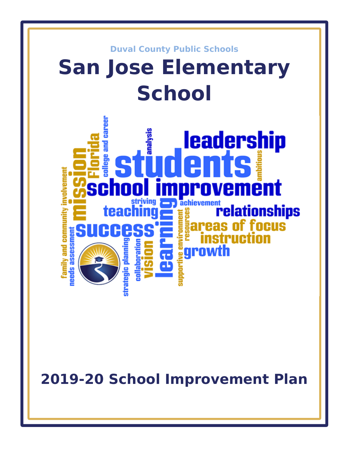

**2019-20 School Improvement Plan**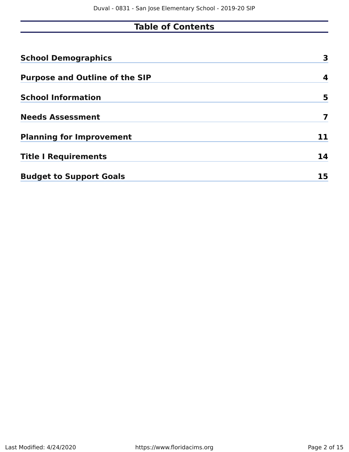# **Table of Contents**

| <b>School Demographics</b>            | 3  |
|---------------------------------------|----|
| <b>Purpose and Outline of the SIP</b> | 4  |
| <b>School Information</b>             | 5  |
| <b>Needs Assessment</b>               | 7  |
| <b>Planning for Improvement</b>       | 11 |
| <b>Title I Requirements</b>           | 14 |
| <b>Budget to Support Goals</b>        | 15 |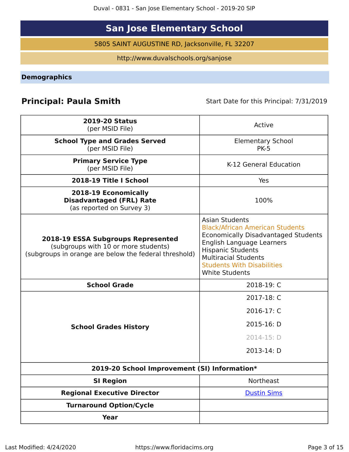Duval - 0831 - San Jose Elementary School - 2019-20 SIP

# **San Jose Elementary School**

5805 SAINT AUGUSTINE RD, Jacksonville, FL 32207

http://www.duvalschools.org/sanjose

<span id="page-2-0"></span>**Demographics**

# **Principal: Paula Smith** Start Date for this Principal: 7/31/2019

| <b>2019-20 Status</b><br>(per MSID File)                                                                                            | Active                                                                                                                                                                                                                                                              |
|-------------------------------------------------------------------------------------------------------------------------------------|---------------------------------------------------------------------------------------------------------------------------------------------------------------------------------------------------------------------------------------------------------------------|
| <b>School Type and Grades Served</b><br>(per MSID File)                                                                             | <b>Elementary School</b><br><b>PK-5</b>                                                                                                                                                                                                                             |
| <b>Primary Service Type</b><br>(per MSID File)                                                                                      | K-12 General Education                                                                                                                                                                                                                                              |
| 2018-19 Title I School                                                                                                              | Yes                                                                                                                                                                                                                                                                 |
| 2018-19 Economically<br><b>Disadvantaged (FRL) Rate</b><br>(as reported on Survey 3)                                                | 100%                                                                                                                                                                                                                                                                |
| 2018-19 ESSA Subgroups Represented<br>(subgroups with 10 or more students)<br>(subgroups in orange are below the federal threshold) | <b>Asian Students</b><br><b>Black/African American Students</b><br><b>Economically Disadvantaged Students</b><br>English Language Learners<br><b>Hispanic Students</b><br><b>Multiracial Students</b><br><b>Students With Disabilities</b><br><b>White Students</b> |
| <b>School Grade</b>                                                                                                                 | 2018-19: C                                                                                                                                                                                                                                                          |
|                                                                                                                                     | 2017-18: C                                                                                                                                                                                                                                                          |
|                                                                                                                                     | 2016-17: C                                                                                                                                                                                                                                                          |
| <b>School Grades History</b>                                                                                                        | 2015-16: D                                                                                                                                                                                                                                                          |
|                                                                                                                                     | 2014-15: D                                                                                                                                                                                                                                                          |
|                                                                                                                                     | 2013-14: D                                                                                                                                                                                                                                                          |
| 2019-20 School Improvement (SI) Information*                                                                                        |                                                                                                                                                                                                                                                                     |
| <b>SI Region</b>                                                                                                                    | Northeast                                                                                                                                                                                                                                                           |
| <b>Regional Executive Director</b>                                                                                                  | <b>Dustin Sims</b>                                                                                                                                                                                                                                                  |
| <b>Turnaround Option/Cycle</b>                                                                                                      |                                                                                                                                                                                                                                                                     |
| <b>Year</b>                                                                                                                         |                                                                                                                                                                                                                                                                     |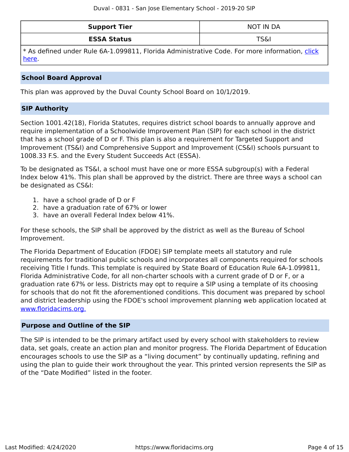| <b>Support Tier</b> | NOT IN DA |
|---------------------|-----------|
| <b>ESSA Status</b>  | TS&I      |

\* As defined under Rule 6A-1.099811, Florida Administrative Code. For more information, [click](/downloads?category=da-forms) [here](/downloads?category=da-forms).

## **School Board Approval**

This plan was approved by the Duval County School Board on 10/1/2019.

## **SIP Authority**

Section 1001.42(18), Florida Statutes, requires district school boards to annually approve and require implementation of a Schoolwide Improvement Plan (SIP) for each school in the district that has a school grade of D or F. This plan is also a requirement for Targeted Support and Improvement (TS&I) and Comprehensive Support and Improvement (CS&I) schools pursuant to 1008.33 F.S. and the Every Student Succeeds Act (ESSA).

To be designated as TS&I, a school must have one or more ESSA subgroup(s) with a Federal Index below 41%. This plan shall be approved by the district. There are three ways a school can be designated as CS&I:

- 1. have a school grade of D or F
- 2. have a graduation rate of 67% or lower
- 3. have an overall Federal Index below 41%.

For these schools, the SIP shall be approved by the district as well as the Bureau of School Improvement.

The Florida Department of Education (FDOE) SIP template meets all statutory and rule requirements for traditional public schools and incorporates all components required for schools receiving Title I funds. This template is required by State Board of Education Rule 6A-1.099811, Florida Administrative Code, for all non-charter schools with a current grade of D or F, or a graduation rate 67% or less. Districts may opt to require a SIP using a template of its choosing for schools that do not fit the aforementioned conditions. This document was prepared by school and district leadership using the FDOE's school improvement planning web application located at [www.floridacims.org.](https://www.floridacims.org)

### <span id="page-3-0"></span>**Purpose and Outline of the SIP**

The SIP is intended to be the primary artifact used by every school with stakeholders to review data, set goals, create an action plan and monitor progress. The Florida Department of Education encourages schools to use the SIP as a "living document" by continually updating, refining and using the plan to guide their work throughout the year. This printed version represents the SIP as of the "Date Modified" listed in the footer.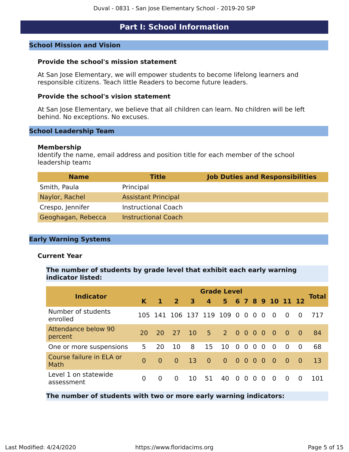## **Part I: School Information**

#### <span id="page-4-0"></span>**School Mission and Vision**

#### **Provide the school's mission statement**

At San Jose Elementary, we will empower students to become lifelong learners and responsible citizens. Teach little Readers to become future leaders.

#### **Provide the school's vision statement**

At San Jose Elementary, we believe that all children can learn. No children will be left behind. No exceptions. No excuses.

#### **School Leadership Team**

#### **Membership**

Identify the name, email address and position title for each member of the school leadership team**:**

| <b>Name</b>        | <b>Title</b>               | <b>Job Duties and Responsibilities</b> |
|--------------------|----------------------------|----------------------------------------|
| Smith, Paula       | Principal                  |                                        |
| Naylor, Rachel     | <b>Assistant Principal</b> |                                        |
| Crespo, Jennifer   | <b>Instructional Coach</b> |                                        |
| Geoghagan, Rebecca | <b>Instructional Coach</b> |                                        |

#### **Early Warning Systems**

#### **Current Year**

#### **The number of students by grade level that exhibit each early warning indicator listed:**

| <b>Indicator</b>                      | <b>Grade Level</b> |           |                |           |                |                |                |                |          |          |                  |                |          |              |
|---------------------------------------|--------------------|-----------|----------------|-----------|----------------|----------------|----------------|----------------|----------|----------|------------------|----------------|----------|--------------|
|                                       | K.                 | 1         | $\overline{2}$ | 3         | $\mathbf{4}$   | 5              |                |                |          |          | 6 7 8 9 10 11 12 |                |          | <b>Total</b> |
| Number of students<br>enrolled        | 105                | 141       | 106 137 119    |           |                | 109            | $\overline{0}$ | $\overline{0}$ | $\Omega$ | $\Omega$ | $\Omega$         | $\Omega$       | $\Omega$ | 717          |
| <b>Attendance below 90</b><br>percent | 20                 | <b>20</b> | 27             | <b>10</b> | $-5$           | $2000$         |                |                |          | $\Omega$ | $\overline{0}$   | $\overline{0}$ | $\sim 0$ | -84          |
| One or more suspensions               | 5                  | 20        | 10             | 8         | 15             | 10             | $\Omega$       | $\Omega$       | $\Omega$ | $\Omega$ | $\Omega$         | $\Omega$       | $\Omega$ | 68           |
| Course failure in ELA or<br>Math      | $\Omega$           | $\Omega$  | $\overline{0}$ | 13        | $\overline{0}$ | $\overline{0}$ | 000            |                |          | $\Omega$ | $\overline{0}$   | $\overline{0}$ | - 0      | 13           |
| Level 1 on statewide<br>assessment    | 0                  | $\Omega$  | $\Omega$       | 10        | 51             | 40             | - 0            | $\Omega$       | $\Omega$ | $\Omega$ | $\Omega$         | $\Omega$       | $\Omega$ | 101          |

#### **The number of students with two or more early warning indicators:**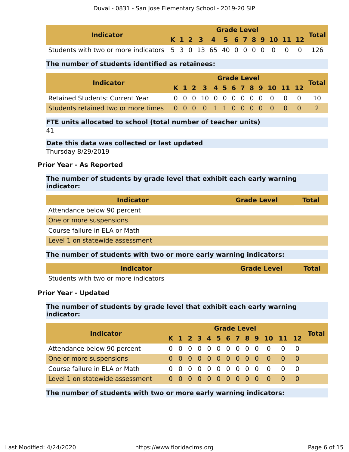| <b>Indicator</b>                                                      |  | <b>Grade Level</b> |  |  |  |  |  |  |  |  |  |  |                              |              |
|-----------------------------------------------------------------------|--|--------------------|--|--|--|--|--|--|--|--|--|--|------------------------------|--------------|
|                                                                       |  |                    |  |  |  |  |  |  |  |  |  |  | K 1 2 3 4 5 6 7 8 9 10 11 12 | <b>Total</b> |
| Students with two or more indicators 5 3 0 13 65 40 0 0 0 0 0 0 0 126 |  |                    |  |  |  |  |  |  |  |  |  |  |                              |              |

### **The number of students identified as retainees:**

| <b>Indicator</b>                                                | <b>Grade Level</b> |  |  |  |  |  |  |  |  |  |  |                              |              |
|-----------------------------------------------------------------|--------------------|--|--|--|--|--|--|--|--|--|--|------------------------------|--------------|
|                                                                 |                    |  |  |  |  |  |  |  |  |  |  | K 1 2 3 4 5 6 7 8 9 10 11 12 | <b>Total</b> |
| <b>Retained Students: Current Year</b>                          |                    |  |  |  |  |  |  |  |  |  |  | 0 0 0 10 0 0 0 0 0 0 0 0 0   | -10          |
| Students retained two or more times 0 0 0 0 1 1 0 0 0 0 0 0 0 0 |                    |  |  |  |  |  |  |  |  |  |  |                              |              |

#### **FTE units allocated to school (total number of teacher units)** 41

**Date this data was collected or last updated** Thursday 8/29/2019

### **Prior Year - As Reported**

**The number of students by grade level that exhibit each early warning indicator:**

| <b>Indicator</b>                                                  | <b>Grade Level</b> | <b>Total</b> |
|-------------------------------------------------------------------|--------------------|--------------|
| Attendance below 90 percent                                       |                    |              |
| One or more suspensions                                           |                    |              |
| Course failure in ELA or Math                                     |                    |              |
| Level 1 on statewide assessment                                   |                    |              |
| The number of students with two or more early warning indicators: |                    |              |
| <b>Indicator</b>                                                  | <b>Grade Level</b> | Tota         |

Students with two or more indicators

#### **Prior Year - Updated**

### **The number of students by grade level that exhibit each early warning indicator:**

| <b>Indicator</b>              | <b>Grade Level</b><br>K 1 2 3 4 5 6 7 8 9 10 11 12 |  |  |  |  |  |  |  |  |  |  |                           |  | Total |
|-------------------------------|----------------------------------------------------|--|--|--|--|--|--|--|--|--|--|---------------------------|--|-------|
|                               |                                                    |  |  |  |  |  |  |  |  |  |  |                           |  |       |
| Attendance below 90 percent   |                                                    |  |  |  |  |  |  |  |  |  |  | 0 0 0 0 0 0 0 0 0 0 0 0 0 |  |       |
| One or more suspensions       |                                                    |  |  |  |  |  |  |  |  |  |  | 0000000000000             |  |       |
| Course failure in ELA or Math |                                                    |  |  |  |  |  |  |  |  |  |  | 0 0 0 0 0 0 0 0 0 0 0 0 0 |  |       |
|                               |                                                    |  |  |  |  |  |  |  |  |  |  |                           |  |       |

**The number of students with two or more early warning indicators:**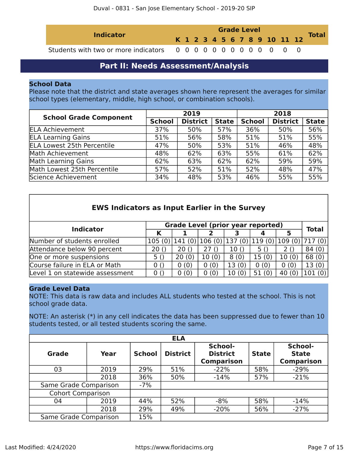| <b>Indicator</b> | <b>Grade Level</b> |  |  |  |  |  |  |  |  |  |  |                              | <b>Total</b> |
|------------------|--------------------|--|--|--|--|--|--|--|--|--|--|------------------------------|--------------|
|                  |                    |  |  |  |  |  |  |  |  |  |  | K 1 2 3 4 5 6 7 8 9 10 11 12 |              |
|                  |                    |  |  |  |  |  |  |  |  |  |  |                              |              |

## **Part II: Needs Assessment/Analysis**

#### <span id="page-6-0"></span>**School Data**

Please note that the district and state averages shown here represent the averages for similar school types (elementary, middle, high school, or combination schools).

| <b>School Grade Component</b>     |               | 2019            |              | 2018          |                 |              |  |  |  |
|-----------------------------------|---------------|-----------------|--------------|---------------|-----------------|--------------|--|--|--|
|                                   | <b>School</b> | <b>District</b> | <b>State</b> | <b>School</b> | <b>District</b> | <b>State</b> |  |  |  |
| <b>ELA Achievement</b>            | 37%           | 50%             | 57%          | 36%           | 50%             | 56%          |  |  |  |
| <b>ELA Learning Gains</b>         | 51%           | 56%             | 58%          | 51%           | 51%             | 55%          |  |  |  |
| <b>ELA Lowest 25th Percentile</b> | 47%           | 50%             | 53%          | 51%           | 46%             | 48%          |  |  |  |
| Math Achievement                  | 48%           | 62%             | 63%          | 55%           | 61%             | 62%          |  |  |  |
| Math Learning Gains               | 62%           | 63%             | 62%          | 62%           | 59%             | 59%          |  |  |  |
| Math Lowest 25th Percentile       | 57%           | 52%             | 51%          | 52%           | 48%             | 47%          |  |  |  |
| Science Achievement               | 34%           | 48%             | 53%          | 46%           | 55%             | 55%          |  |  |  |

| <b>EWS Indicators as Input Earlier in the Survey</b> |        |         |                                          |                 |       |               |              |
|------------------------------------------------------|--------|---------|------------------------------------------|-----------------|-------|---------------|--------------|
| <b>Indicator</b>                                     |        |         | <b>Grade Level (prior year reported)</b> |                 |       |               | <b>Total</b> |
|                                                      | Κ      |         |                                          |                 |       | 5             |              |
| Number of students enrolled                          | 105(0) | 141 (0) | 106(0)                                   | 137 (0) 119 (0) |       | 109(0) 717(0) |              |
| Attendance below 90 percent                          | 20()   | 20()    | 27()                                     | 10()            | 5 ()  | 2()           | 84(0)        |
| One or more suspensions                              | 5()    | 20(0)   | 10(0)                                    | 8(0)            | 15(0) | 10(0)         | 68(0)        |
| Course failure in ELA or Math                        | 0()    | 0(0)    | 0(0)                                     | 13(0)           | 0(0)  | 0(0)          | 13(0)        |
| Level 1 on statewide assessment                      | 0()    | 0(0)    | 0(0)                                     | 10(0)           | 51(0) | 40(0)         |              |

#### **Grade Level Data**

NOTE: This data is raw data and includes ALL students who tested at the school. This is not school grade data.

NOTE: An asterisk (\*) in any cell indicates the data has been suppressed due to fewer than 10 students tested, or all tested students scoring the same.

| <b>ELA</b>               |      |               |                 |                                                 |              |                                              |  |  |  |
|--------------------------|------|---------------|-----------------|-------------------------------------------------|--------------|----------------------------------------------|--|--|--|
| Grade<br>Year            |      | <b>School</b> | <b>District</b> | School-<br><b>District</b><br><b>Comparison</b> | <b>State</b> | School-<br><b>State</b><br><b>Comparison</b> |  |  |  |
| 03                       | 2019 | 29%           | 51%             | $-22%$                                          | 58%          | $-29%$                                       |  |  |  |
|                          | 2018 | 36%           | 50%             | $-14%$                                          | 57%          | $-21%$                                       |  |  |  |
| Same Grade Comparison    |      | $-7%$         |                 |                                                 |              |                                              |  |  |  |
| <b>Cohort Comparison</b> |      |               |                 |                                                 |              |                                              |  |  |  |
| 04                       | 2019 | 44%           | 52%             | $-8%$                                           |              | $-14%$                                       |  |  |  |
|                          | 2018 | 29%           | 49%             | $-20%$                                          | 56%          | $-27%$                                       |  |  |  |
| Same Grade Comparison    |      | 15%           |                 |                                                 |              |                                              |  |  |  |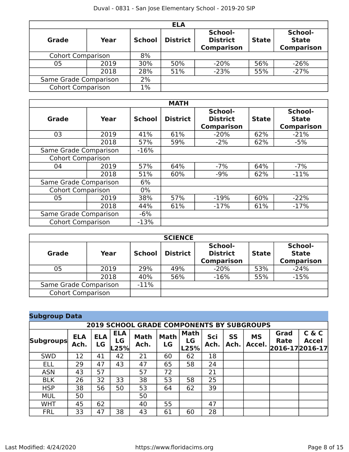| <b>ELA</b>               |      |               |                 |                                                 |              |                                              |  |  |  |
|--------------------------|------|---------------|-----------------|-------------------------------------------------|--------------|----------------------------------------------|--|--|--|
| <b>Grade</b><br>Year     |      | <b>School</b> | <b>District</b> | School-<br><b>District</b><br><b>Comparison</b> | <b>State</b> | School-<br><b>State</b><br><b>Comparison</b> |  |  |  |
| <b>Cohort Comparison</b> |      | 8%            |                 |                                                 |              |                                              |  |  |  |
| 05                       | 2019 | 30%           | 50%             | $-20%$                                          | 56%          | $-26%$                                       |  |  |  |
| 2018                     |      | 28%           | 51%             | $-23%$                                          | 55%          | $-27%$                                       |  |  |  |
| Same Grade Comparison    | 2%   |               |                 |                                                 |              |                                              |  |  |  |
| <b>Cohort Comparison</b> |      | $1\%$         |                 |                                                 |              |                                              |  |  |  |

| <b>MATH</b>              |       |        |                 |                                                 |     |                                              |  |  |  |
|--------------------------|-------|--------|-----------------|-------------------------------------------------|-----|----------------------------------------------|--|--|--|
| Grade                    | Year  |        | <b>District</b> | School-<br><b>District</b><br><b>Comparison</b> |     | School-<br><b>State</b><br><b>Comparison</b> |  |  |  |
| 03                       | 2019  | 41%    | 61%             | $-20%$                                          | 62% | $-21%$                                       |  |  |  |
|                          | 2018  | 57%    | 59%             | $-2%$                                           | 62% | $-5%$                                        |  |  |  |
| Same Grade Comparison    |       | $-16%$ |                 |                                                 |     |                                              |  |  |  |
| <b>Cohort Comparison</b> |       |        |                 |                                                 |     |                                              |  |  |  |
| 04                       | 2019  | 57%    | 64%             | $-7%$                                           | 64% | $-7%$                                        |  |  |  |
|                          | 2018  | 51%    | 60%             | $-9%$                                           | 62% | $-11%$                                       |  |  |  |
| Same Grade Comparison    |       | 6%     |                 |                                                 |     |                                              |  |  |  |
| <b>Cohort Comparison</b> |       | $0\%$  |                 |                                                 |     |                                              |  |  |  |
| 05                       | 2019  | 38%    | 57%             | $-19%$                                          | 60% | $-22%$                                       |  |  |  |
|                          | 2018  | 44%    | 61%             | $-17%$                                          | 61% | $-17%$                                       |  |  |  |
| Same Grade Comparison    | $-6%$ |        |                 |                                                 |     |                                              |  |  |  |
| <b>Cohort Comparison</b> |       | $-13%$ |                 |                                                 |     |                                              |  |  |  |

| <b>SCIENCE</b>           |        |               |                 |                                                 |              |                                              |  |  |  |  |
|--------------------------|--------|---------------|-----------------|-------------------------------------------------|--------------|----------------------------------------------|--|--|--|--|
| <b>Grade</b><br>Year     |        | <b>School</b> | <b>District</b> | School-<br><b>District</b><br><b>Comparison</b> | <b>State</b> | School-<br><b>State</b><br><b>Comparison</b> |  |  |  |  |
| 05                       | 2019   | 29%           | 49%             | $-20%$                                          | 53%          | $-24%$                                       |  |  |  |  |
| 2018                     |        | 40%           | 56%             | $-16%$                                          | 55%          | $-15%$                                       |  |  |  |  |
| Same Grade Comparison    | $-11%$ |               |                 |                                                 |              |                                              |  |  |  |  |
| <b>Cohort Comparison</b> |        |               |                 |                                                 |              |                                              |  |  |  |  |

## **Subgroup Data**

| <b>2019 SCHOOL GRADE COMPONENTS BY SUBGROUPS</b> |                    |                  |                          |                     |                   |                           |             |                   |                     |              |                                          |
|--------------------------------------------------|--------------------|------------------|--------------------------|---------------------|-------------------|---------------------------|-------------|-------------------|---------------------|--------------|------------------------------------------|
| <b>Subgroups</b>                                 | <b>ELA</b><br>Ach. | <b>ELA</b><br>LG | <b>ELA</b><br>LG<br>L25% | <b>Math</b><br>Ach. | <b>Math</b><br>LG | <b>Math</b><br>LG<br>L25% | Sci<br>Ach. | <b>SS</b><br>Ach. | <b>MS</b><br>Accel. | Grad<br>Rate | C & C<br><b>Accel</b><br>2016-17 2016-17 |
| <b>SWD</b>                                       | 12                 | 41               | 42                       | 21                  | 60                | 62                        | 18          |                   |                     |              |                                          |
| <b>ELL</b>                                       | 29                 | 47               | 43                       | 47                  | 65                | 58                        | 24          |                   |                     |              |                                          |
| <b>ASN</b>                                       | 43                 | 57               |                          | 57                  | 72                |                           | 21          |                   |                     |              |                                          |
| <b>BLK</b>                                       | 26                 | 32               | 33                       | 38                  | 53                | 58                        | 25          |                   |                     |              |                                          |
| <b>HSP</b>                                       | 38                 | 56               | 50                       | 53                  | 64                | 62                        | 39          |                   |                     |              |                                          |
| <b>MUL</b>                                       | 50                 |                  |                          | 50                  |                   |                           |             |                   |                     |              |                                          |
| <b>WHT</b>                                       | 45                 | 62               |                          | 40                  | 55                |                           | 47          |                   |                     |              |                                          |
| <b>FRL</b>                                       | 33                 | 47               | 38                       | 43                  | 61                | 60                        | 28          |                   |                     |              |                                          |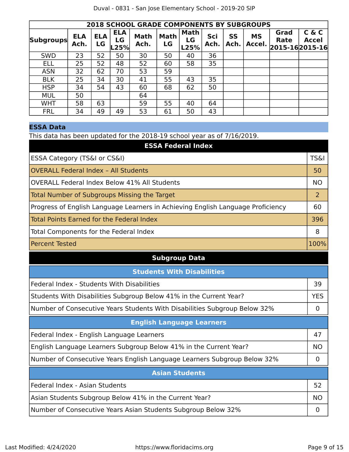|                  | <b>2018 SCHOOL GRADE COMPONENTS BY SUBGROUPS</b> |                  |                          |                     |                   |                    |             |            |                     |                                       |                       |
|------------------|--------------------------------------------------|------------------|--------------------------|---------------------|-------------------|--------------------|-------------|------------|---------------------|---------------------------------------|-----------------------|
| <b>Subgroups</b> | <b>ELA</b><br>Ach.                               | <b>ELA</b><br>LG | <b>ELA</b><br>LG<br>.25% | <b>Math</b><br>Ach. | <b>Math</b><br>LG | Math<br>LG<br>L25% | Sci<br>Ach. | SS<br>Ach. | <b>MS</b><br>Accel. | Grad<br><b>Rate</b><br>2015-162015-16 | C & C<br><b>Accel</b> |
| <b>SWD</b>       | 23                                               | 52               | 50                       | 30                  | 50                | 40                 | 36          |            |                     |                                       |                       |
| <b>ELL</b>       | 25                                               | 52               | 48                       | 52                  | 60                | 58                 | 35          |            |                     |                                       |                       |
| <b>ASN</b>       | 32                                               | 62               | 70                       | 53                  | 59                |                    |             |            |                     |                                       |                       |
| <b>BLK</b>       | 25                                               | 34               | 30                       | 41                  | 55                | 43                 | 35          |            |                     |                                       |                       |
| <b>HSP</b>       | 34                                               | 54               | 43                       | 60                  | 68                | 62                 | 50          |            |                     |                                       |                       |
| <b>MUL</b>       | 50                                               |                  |                          | 64                  |                   |                    |             |            |                     |                                       |                       |
| <b>WHT</b>       | 58                                               | 63               |                          | 59                  | 55                | 40                 | 64          |            |                     |                                       |                       |
| <b>FRL</b>       | 34                                               | 49               | 49                       | 53                  | 61                | 50                 | 43          |            |                     |                                       |                       |

## **ESSA Data**

This data has been updated for the 2018-19 school year as of 7/16/2019.

| <b>ESSA Federal Index</b>                                                       |                 |  |  |  |  |
|---------------------------------------------------------------------------------|-----------------|--|--|--|--|
| ESSA Category (TS&I or CS&I)                                                    | <b>TS&amp;I</b> |  |  |  |  |
| <b>OVERALL Federal Index - All Students</b>                                     |                 |  |  |  |  |
| <b>OVERALL Federal Index Below 41% All Students</b>                             | <b>NO</b>       |  |  |  |  |
| <b>Total Number of Subgroups Missing the Target</b>                             | $\overline{2}$  |  |  |  |  |
| Progress of English Language Learners in Achieving English Language Proficiency | 60              |  |  |  |  |
| <b>Total Points Earned for the Federal Index</b>                                | 396             |  |  |  |  |
| Total Components for the Federal Index                                          | 8               |  |  |  |  |
| <b>Percent Tested</b>                                                           | 100%            |  |  |  |  |
| <b>Subgroup Data</b>                                                            |                 |  |  |  |  |
| <b>Students With Disabilities</b>                                               |                 |  |  |  |  |
| Federal Index - Students With Disabilities                                      | 39              |  |  |  |  |
| Students With Disabilities Subgroup Below 41% in the Current Year?              | <b>YES</b>      |  |  |  |  |
| Number of Consecutive Years Students With Disabilities Subgroup Below 32%       | $\Omega$        |  |  |  |  |
| <b>English Language Learners</b>                                                |                 |  |  |  |  |
| Federal Index - English Language Learners                                       | 47              |  |  |  |  |
| English Language Learners Subgroup Below 41% in the Current Year?               | <b>NO</b>       |  |  |  |  |
| Number of Consecutive Years English Language Learners Subgroup Below 32%        | $\overline{0}$  |  |  |  |  |
| <b>Asian Students</b>                                                           |                 |  |  |  |  |
| Federal Index - Asian Students                                                  | 52              |  |  |  |  |
| Asian Students Subgroup Below 41% in the Current Year?                          | <b>NO</b>       |  |  |  |  |
| Number of Consecutive Years Asian Students Subgroup Below 32%                   | 0               |  |  |  |  |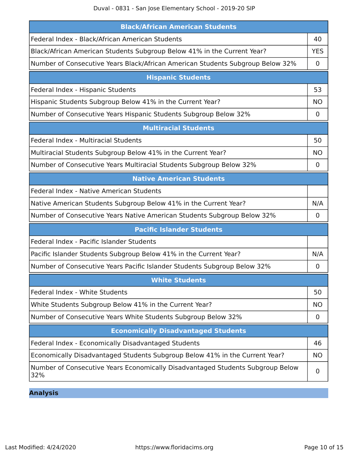Duval - 0831 - San Jose Elementary School - 2019-20 SIP

| <b>Black/African American Students</b>                                                |             |
|---------------------------------------------------------------------------------------|-------------|
| Federal Index - Black/African American Students                                       | 40          |
| Black/African American Students Subgroup Below 41% in the Current Year?               | <b>YES</b>  |
| Number of Consecutive Years Black/African American Students Subgroup Below 32%        | 0           |
| <b>Hispanic Students</b>                                                              |             |
| Federal Index - Hispanic Students                                                     | 53          |
| Hispanic Students Subgroup Below 41% in the Current Year?                             | <b>NO</b>   |
| Number of Consecutive Years Hispanic Students Subgroup Below 32%                      | $\mathbf 0$ |
| <b>Multiracial Students</b>                                                           |             |
| Federal Index - Multiracial Students                                                  | 50          |
| Multiracial Students Subgroup Below 41% in the Current Year?                          | NO.         |
| Number of Consecutive Years Multiracial Students Subgroup Below 32%                   | 0           |
| <b>Native American Students</b>                                                       |             |
| Federal Index - Native American Students                                              |             |
| Native American Students Subgroup Below 41% in the Current Year?                      | N/A         |
| Number of Consecutive Years Native American Students Subgroup Below 32%               | $\mathbf 0$ |
| <b>Pacific Islander Students</b>                                                      |             |
| Federal Index - Pacific Islander Students                                             |             |
| Pacific Islander Students Subgroup Below 41% in the Current Year?                     | N/A         |
| Number of Consecutive Years Pacific Islander Students Subgroup Below 32%              | 0           |
| <b>White Students</b>                                                                 |             |
| Federal Index - White Students                                                        | 50          |
| White Students Subgroup Below 41% in the Current Year?                                | <b>NO</b>   |
| Number of Consecutive Years White Students Subgroup Below 32%                         | 0           |
| <b>Economically Disadvantaged Students</b>                                            |             |
| Federal Index - Economically Disadvantaged Students                                   | 46          |
| Economically Disadvantaged Students Subgroup Below 41% in the Current Year?           | <b>NO</b>   |
| Number of Consecutive Years Economically Disadvantaged Students Subgroup Below<br>32% | 0           |

**Analysis**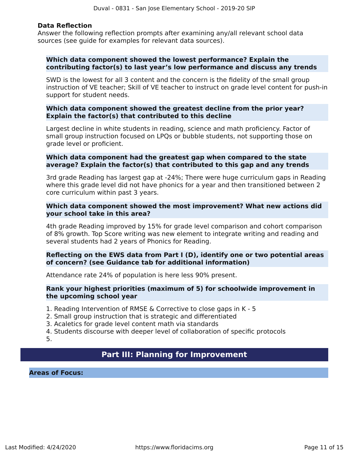#### **Data Reflection**

Answer the following reflection prompts after examining any/all relevant school data sources (see guide for examples for relevant data sources).

#### **Which data component showed the lowest performance? Explain the contributing factor(s) to last year's low performance and discuss any trends**

SWD is the lowest for all 3 content and the concern is the fidelity of the small group instruction of VE teacher; Skill of VE teacher to instruct on grade level content for push-in support for student needs.

#### **Which data component showed the greatest decline from the prior year? Explain the factor(s) that contributed to this decline**

Largest decline in white students in reading, science and math proficiency. Factor of small group instruction focused on LPQs or bubble students, not supporting those on grade level or proficient.

#### **Which data component had the greatest gap when compared to the state average? Explain the factor(s) that contributed to this gap and any trends**

3rd grade Reading has largest gap at -24%; There were huge curriculum gaps in Reading where this grade level did not have phonics for a year and then transitioned between 2 core curriculum within past 3 years.

#### **Which data component showed the most improvement? What new actions did your school take in this area?**

4th grade Reading improved by 15% for grade level comparison and cohort comparison of 8% growth. Top Score writing was new element to integrate writing and reading and several students had 2 years of Phonics for Reading.

#### **Reflecting on the EWS data from Part I (D), identify one or two potential areas of concern? (see Guidance tab for additional information)**

Attendance rate 24% of population is here less 90% present.

#### **Rank your highest priorities (maximum of 5) for schoolwide improvement in the upcoming school year**

- 1. Reading Intervention of RMSE & Corrective to close gaps in K 5
- 2. Small group instruction that is strategic and differentiated
- 3. Acaletics for grade level content math via standards
- 4. Students discourse with deeper level of collaboration of specific protocols

5.

## **Part III: Planning for Improvement**

<span id="page-10-0"></span>**Areas of Focus:**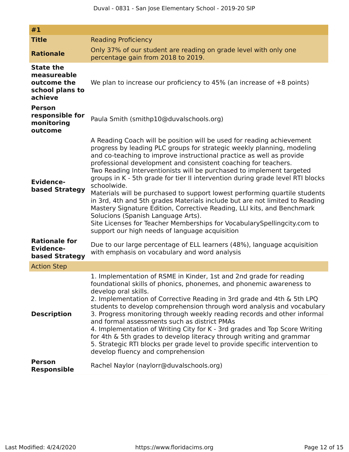| #1                                                                           |                                                                                                                                                                                                                                                                                                                                                                                                                                                                                                                                                                                                                                                                                                                                                                                                                                                                              |
|------------------------------------------------------------------------------|------------------------------------------------------------------------------------------------------------------------------------------------------------------------------------------------------------------------------------------------------------------------------------------------------------------------------------------------------------------------------------------------------------------------------------------------------------------------------------------------------------------------------------------------------------------------------------------------------------------------------------------------------------------------------------------------------------------------------------------------------------------------------------------------------------------------------------------------------------------------------|
| <b>Title</b>                                                                 | <b>Reading Proficiency</b>                                                                                                                                                                                                                                                                                                                                                                                                                                                                                                                                                                                                                                                                                                                                                                                                                                                   |
| <b>Rationale</b>                                                             | Only 37% of our student are reading on grade level with only one<br>percentage gain from 2018 to 2019.                                                                                                                                                                                                                                                                                                                                                                                                                                                                                                                                                                                                                                                                                                                                                                       |
| <b>State the</b><br>measureable<br>outcome the<br>school plans to<br>achieve | We plan to increase our proficiency to 45% (an increase of $+8$ points)                                                                                                                                                                                                                                                                                                                                                                                                                                                                                                                                                                                                                                                                                                                                                                                                      |
| <b>Person</b><br>responsible for<br>monitoring<br>outcome                    | Paula Smith (smithp10@duvalschools.org)                                                                                                                                                                                                                                                                                                                                                                                                                                                                                                                                                                                                                                                                                                                                                                                                                                      |
| <b>Evidence-</b><br>based Strategy<br><b>Rationale for</b>                   | A Reading Coach will be position will be used for reading achievement<br>progress by leading PLC groups for strategic weekly planning, modeling<br>and co-teaching to improve instructional practice as well as provide<br>professional development and consistent coaching for teachers.<br>Two Reading Interventionists will be purchased to implement targeted<br>groups in K - 5th grade for tier II intervention during grade level RTI blocks<br>schoolwide.<br>Materials will be purchased to support lowest performing quartile students<br>in 3rd, 4th and 5th grades Materials include but are not limited to Reading<br>Mastery Signature Edition, Corrective Reading, LLI kits, and Benchmark<br>Solucions (Spanish Language Arts).<br>Site Licenses for Teacher Memberships for VocabularySpellingcity.com to<br>support our high needs of language acquisition |
| <b>Evidence-</b><br>based Strategy                                           | Due to our large percentage of ELL learners (48%), language acquisition<br>with emphasis on vocabulary and word analysis                                                                                                                                                                                                                                                                                                                                                                                                                                                                                                                                                                                                                                                                                                                                                     |
| <b>Action Step</b>                                                           |                                                                                                                                                                                                                                                                                                                                                                                                                                                                                                                                                                                                                                                                                                                                                                                                                                                                              |
| <b>Description</b>                                                           | 1. Implementation of RSME in Kinder, 1st and 2nd grade for reading<br>foundational skills of phonics, phonemes, and phonemic awareness to<br>develop oral skills.<br>2. Implementation of Corrective Reading in 3rd grade and 4th & 5th LPQ<br>students to develop comprehension through word analysis and vocabulary<br>3. Progress monitoring through weekly reading records and other informal<br>and formal assessments such as district PMAs<br>4. Implementation of Writing City for K - 3rd grades and Top Score Writing<br>for 4th & 5th grades to develop literacy through writing and grammar<br>5. Strategic RTI blocks per grade level to provide specific intervention to<br>develop fluency and comprehension                                                                                                                                                  |
| <b>Person</b><br><b>Responsible</b>                                          | Rachel Naylor (naylorr@duvalschools.org)                                                                                                                                                                                                                                                                                                                                                                                                                                                                                                                                                                                                                                                                                                                                                                                                                                     |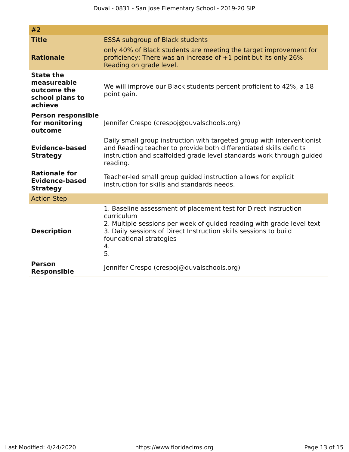| #2                                                                           |                                                                                                                                                                                                                                                                   |
|------------------------------------------------------------------------------|-------------------------------------------------------------------------------------------------------------------------------------------------------------------------------------------------------------------------------------------------------------------|
| <b>Title</b>                                                                 | <b>ESSA subgroup of Black students</b>                                                                                                                                                                                                                            |
| <b>Rationale</b>                                                             | only 40% of Black students are meeting the target improvement for<br>proficiency; There was an increase of +1 point but its only 26%<br>Reading on grade level.                                                                                                   |
| <b>State the</b><br>measureable<br>outcome the<br>school plans to<br>achieve | We will improve our Black students percent proficient to 42%, a 18<br>point gain.                                                                                                                                                                                 |
| <b>Person responsible</b><br>for monitoring<br>outcome                       | Jennifer Crespo (crespoj@duvalschools.org)                                                                                                                                                                                                                        |
| <b>Evidence-based</b><br><b>Strategy</b>                                     | Daily small group instruction with targeted group with interventionist<br>and Reading teacher to provide both differentiated skills deficits<br>instruction and scaffolded grade level standards work through guided<br>reading.                                  |
| <b>Rationale for</b><br><b>Evidence-based</b><br><b>Strategy</b>             | Teacher-led small group guided instruction allows for explicit<br>instruction for skills and standards needs.                                                                                                                                                     |
| <b>Action Step</b>                                                           |                                                                                                                                                                                                                                                                   |
| <b>Description</b>                                                           | 1. Baseline assessment of placement test for Direct instruction<br>curriculum<br>2. Multiple sessions per week of guided reading with grade level text<br>3. Daily sessions of Direct Instruction skills sessions to build<br>foundational strategies<br>4.<br>5. |
| <b>Person</b><br><b>Responsible</b>                                          | Jennifer Crespo (crespoj@duvalschools.org)                                                                                                                                                                                                                        |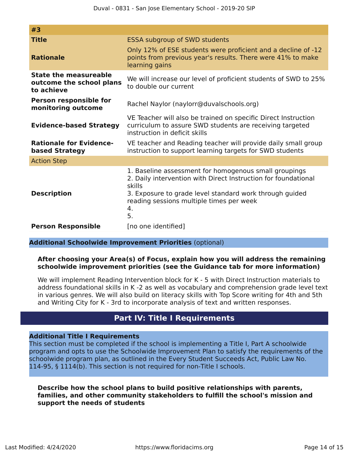| #3                                                                     |                                                                                                                                                                                                                                                      |
|------------------------------------------------------------------------|------------------------------------------------------------------------------------------------------------------------------------------------------------------------------------------------------------------------------------------------------|
| <b>Title</b>                                                           | <b>ESSA subgroup of SWD students</b>                                                                                                                                                                                                                 |
| <b>Rationale</b>                                                       | Only 12% of ESE students were proficient and a decline of -12<br>points from previous year's results. There were 41% to make<br>learning gains                                                                                                       |
| <b>State the measureable</b><br>outcome the school plans<br>to achieve | We will increase our level of proficient students of SWD to 25%<br>to double our current                                                                                                                                                             |
| <b>Person responsible for</b><br>monitoring outcome                    | Rachel Naylor (naylorr@duvalschools.org)                                                                                                                                                                                                             |
| <b>Evidence-based Strategy</b>                                         | VE Teacher will also be trained on specific Direct Instruction<br>curriculum to assure SWD students are receiving targeted<br>instruction in deficit skills                                                                                          |
| <b>Rationale for Evidence-</b><br>based Strategy                       | VE teacher and Reading teacher will provide daily small group<br>instruction to support learning targets for SWD students                                                                                                                            |
| <b>Action Step</b>                                                     |                                                                                                                                                                                                                                                      |
| <b>Description</b>                                                     | 1. Baseline assessment for homogenous small groupings<br>2. Daily intervention with Direct Instruction for foundational<br>skills<br>3. Exposure to grade level standard work through guided<br>reading sessions multiple times per week<br>4.<br>5. |
| <b>Person Responsible</b>                                              | [no one identified]                                                                                                                                                                                                                                  |
|                                                                        |                                                                                                                                                                                                                                                      |

**Additional Schoolwide Improvement Priorities** (optional)

### **After choosing your Area(s) of Focus, explain how you will address the remaining schoolwide improvement priorities (see the Guidance tab for more information)**

We will implement Reading Intervention block for K - 5 with Direct Instruction materials to address foundational skills in K -2 as well as vocabulary and comprehension grade level text in various genres. We will also build on literacy skills with Top Score writing for 4th and 5th and Writing City for K - 3rd to incorporate analysis of text and written responses.

## **Part IV: Title I Requirements**

## <span id="page-13-0"></span>**Additional Title I Requirements**

This section must be completed if the school is implementing a Title I, Part A schoolwide program and opts to use the Schoolwide Improvement Plan to satisfy the requirements of the schoolwide program plan, as outlined in the Every Student Succeeds Act, Public Law No. 114-95, § 1114(b). This section is not required for non-Title I schools.

**Describe how the school plans to build positive relationships with parents, families, and other community stakeholders to fulfill the school's mission and support the needs of students**